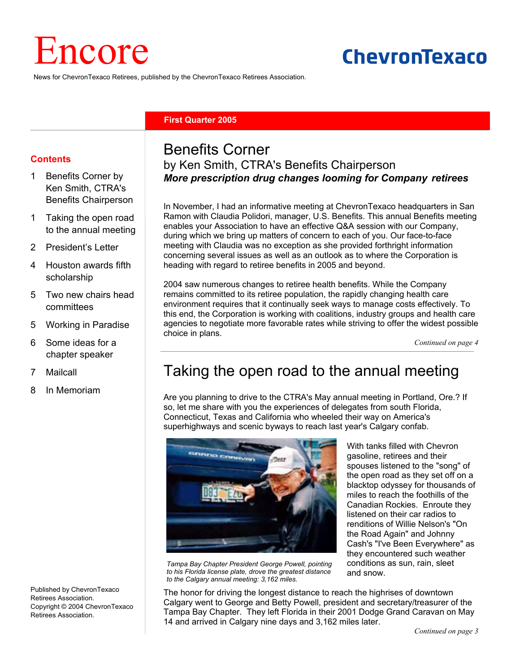# Encore

# ChevronTexaco

News for ChevronTexaco Retirees, published by the ChevronTexaco Retirees Association.

#### **First Quarter 2005**

#### **Contents**

- 1 Benefits Corner by Ken Smith, CTRA's Benefits Chairperson
- 1 Taking the open road to the annual meeting
- 2 President's Letter
- 4 Houston awards fifth scholarship
- 5 Two new chairs head committees
- 5 Working in Paradise
- 6 Some ideas for a chapter speaker
- 7 Mailcall
- 8 In Memoriam

Published by ChevronTexaco Retirees Association. Copyright © 2004 ChevronTexaco Retirees Association.

## Benefits Corner by Ken Smith, CTRA's Benefits Chairperson *More prescription drug changes looming for Company retirees*

In November, I had an informative meeting at ChevronTexaco headquarters in San Ramon with Claudia Polidori, manager, U.S. Benefits. This annual Benefits meeting enables your Association to have an effective Q&A session with our Company, during which we bring up matters of concern to each of you. Our face-to-face meeting with Claudia was no exception as she provided forthright information concerning several issues as well as an outlook as to where the Corporation is heading with regard to retiree benefits in 2005 and beyond.

2004 saw numerous changes to retiree health benefits. While the Company remains committed to its retiree population, the rapidly changing health care environment requires that it continually seek ways to manage costs effectively. To this end, the Corporation is working with coalitions, industry groups and health care agencies to negotiate more favorable rates while striving to offer the widest possible choice in plans.

*Continued on page 4*

## Taking the open road to the annual meeting

Are you planning to drive to the CTRA's May annual meeting in Portland, Ore.? If so, let me share with you the experiences of delegates from south Florida, Connecticut, Texas and California who wheeled their way on America's superhighways and scenic byways to reach last year's Calgary confab.



*Tampa Bay Chapter President George Powell, pointing to his Florida license plate, drove the greatest distance to the Calgary annual meeting: 3,162 miles.* 

With tanks filled with Chevron gasoline, retirees and their spouses listened to the "song" of the open road as they set off on a blacktop odyssey for thousands of miles to reach the foothills of the Canadian Rockies. Enroute they listened on their car radios to renditions of Willie Nelson's "On the Road Again" and Johnny Cash's "I've Been Everywhere" as they encountered such weather conditions as sun, rain, sleet and snow.

The honor for driving the longest distance to reach the highrises of downtown Calgary went to George and Betty Powell, president and secretary/treasurer of the Tampa Bay Chapter. They left Florida in their 2001 Dodge Grand Caravan on May 14 and arrived in Calgary nine days and 3,162 miles later.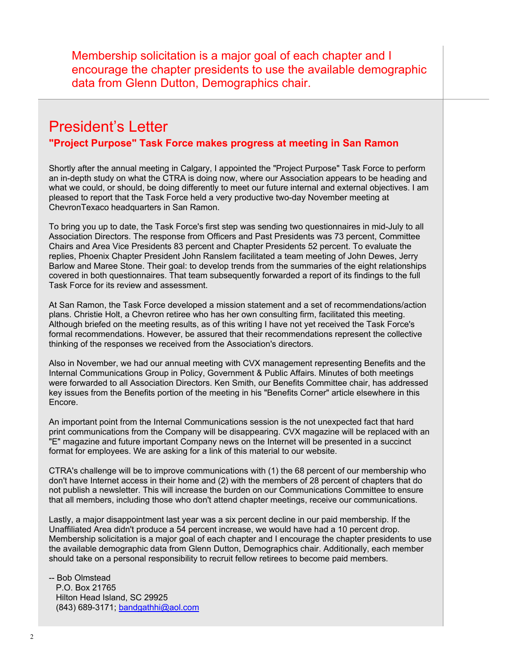Membership solicitation is a major goal of each chapter and I encourage the chapter presidents to use the available demographic data from Glenn Dutton, Demographics chair.

## President's Letter **"Project Purpose" Task Force makes progress at meeting in San Ramon**

Shortly after the annual meeting in Calgary, I appointed the "Project Purpose" Task Force to perform an in-depth study on what the CTRA is doing now, where our Association appears to be heading and what we could, or should, be doing differently to meet our future internal and external objectives. I am pleased to report that the Task Force held a very productive two-day November meeting at ChevronTexaco headquarters in San Ramon.

To bring you up to date, the Task Force's first step was sending two questionnaires in mid-July to all Association Directors. The response from Officers and Past Presidents was 73 percent, Committee Chairs and Area Vice Presidents 83 percent and Chapter Presidents 52 percent. To evaluate the replies, Phoenix Chapter President John Ranslem facilitated a team meeting of John Dewes, Jerry Barlow and Maree Stone. Their goal: to develop trends from the summaries of the eight relationships covered in both questionnaires. That team subsequently forwarded a report of its findings to the full Task Force for its review and assessment.

At San Ramon, the Task Force developed a mission statement and a set of recommendations/action plans. Christie Holt, a Chevron retiree who has her own consulting firm, facilitated this meeting. Although briefed on the meeting results, as of this writing I have not yet received the Task Force's formal recommendations. However, be assured that their recommendations represent the collective thinking of the responses we received from the Association's directors.

Also in November, we had our annual meeting with CVX management representing Benefits and the Internal Communications Group in Policy, Government & Public Affairs. Minutes of both meetings were forwarded to all Association Directors. Ken Smith, our Benefits Committee chair, has addressed key issues from the Benefits portion of the meeting in his "Benefits Corner" article elsewhere in this Encore.

An important point from the Internal Communications session is the not unexpected fact that hard print communications from the Company will be disappearing. CVX magazine will be replaced with an "E" magazine and future important Company news on the Internet will be presented in a succinct format for employees. We are asking for a link of this material to our website.

CTRA's challenge will be to improve communications with (1) the 68 percent of our membership who don't have Internet access in their home and (2) with the members of 28 percent of chapters that do not publish a newsletter. This will increase the burden on our Communications Committee to ensure that all members, including those who don't attend chapter meetings, receive our communications.

Lastly, a major disappointment last year was a six percent decline in our paid membership. If the Unaffiliated Area didn't produce a 54 percent increase, we would have had a 10 percent drop. Membership solicitation is a major goal of each chapter and I encourage the chapter presidents to use the available demographic data from Glenn Dutton, Demographics chair. Additionally, each member should take on a personal responsibility to recruit fellow retirees to become paid members.

-- Bob Olmstead P.O. Box 21765 Hilton Head Island, SC 29925 (843) 689-3171; bandgathhi@aol.com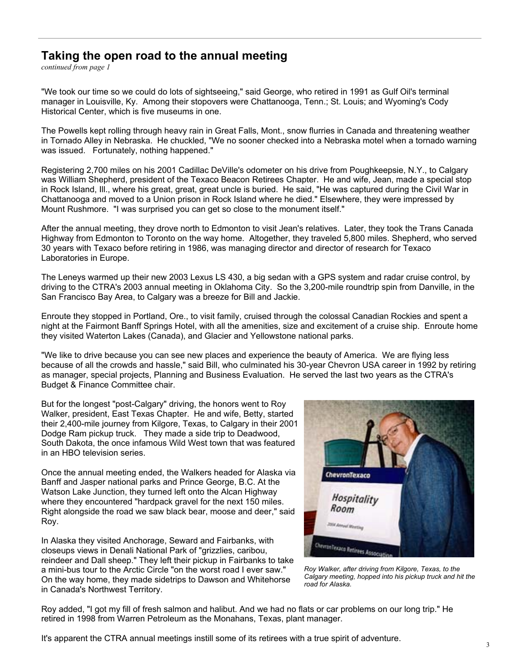#### **Taking the open road to the annual meeting**

*continued from page 1*

"We took our time so we could do lots of sightseeing," said George, who retired in 1991 as Gulf Oil's terminal manager in Louisville, Ky. Among their stopovers were Chattanooga, Tenn.; St. Louis; and Wyoming's Cody Historical Center, which is five museums in one.

The Powells kept rolling through heavy rain in Great Falls, Mont., snow flurries in Canada and threatening weather in Tornado Alley in Nebraska. He chuckled, "We no sooner checked into a Nebraska motel when a tornado warning was issued. Fortunately, nothing happened."

Registering 2,700 miles on his 2001 Cadillac DeVille's odometer on his drive from Poughkeepsie, N.Y., to Calgary was William Shepherd, president of the Texaco Beacon Retirees Chapter. He and wife, Jean, made a special stop in Rock Island, Ill., where his great, great, great uncle is buried. He said, "He was captured during the Civil War in Chattanooga and moved to a Union prison in Rock Island where he died." Elsewhere, they were impressed by Mount Rushmore. "I was surprised you can get so close to the monument itself."

After the annual meeting, they drove north to Edmonton to visit Jean's relatives. Later, they took the Trans Canada Highway from Edmonton to Toronto on the way home. Altogether, they traveled 5,800 miles. Shepherd, who served 30 years with Texaco before retiring in 1986, was managing director and director of research for Texaco Laboratories in Europe.

The Leneys warmed up their new 2003 Lexus LS 430, a big sedan with a GPS system and radar cruise control, by driving to the CTRA's 2003 annual meeting in Oklahoma City. So the 3,200-mile roundtrip spin from Danville, in the San Francisco Bay Area, to Calgary was a breeze for Bill and Jackie.

Enroute they stopped in Portland, Ore., to visit family, cruised through the colossal Canadian Rockies and spent a night at the Fairmont Banff Springs Hotel, with all the amenities, size and excitement of a cruise ship. Enroute home they visited Waterton Lakes (Canada), and Glacier and Yellowstone national parks.

"We like to drive because you can see new places and experience the beauty of America. We are flying less because of all the crowds and hassle," said Bill, who culminated his 30-year Chevron USA career in 1992 by retiring as manager, special projects, Planning and Business Evaluation. He served the last two years as the CTRA's Budget & Finance Committee chair.

But for the longest "post-Calgary" driving, the honors went to Roy Walker, president, East Texas Chapter. He and wife, Betty, started their 2,400-mile journey from Kilgore, Texas, to Calgary in their 2001 Dodge Ram pickup truck. They made a side trip to Deadwood, South Dakota, the once infamous Wild West town that was featured in an HBO television series.

Once the annual meeting ended, the Walkers headed for Alaska via Banff and Jasper national parks and Prince George, B.C. At the Watson Lake Junction, they turned left onto the Alcan Highway where they encountered "hardpack gravel for the next 150 miles. Right alongside the road we saw black bear, moose and deer," said Roy.

In Alaska they visited Anchorage, Seward and Fairbanks, with closeups views in Denali National Park of "grizzlies, caribou, reindeer and Dall sheep." They left their pickup in Fairbanks to take a mini-bus tour to the Arctic Circle "on the worst road I ever saw." On the way home, they made sidetrips to Dawson and Whitehorse in Canada's Northwest Territory.



*Roy Walker, after driving from Kilgore, Texas, to the Calgary meeting, hopped into his pickup truck and hit the road for Alaska.* 

Roy added, "I got my fill of fresh salmon and halibut. And we had no flats or car problems on our long trip." He retired in 1998 from Warren Petroleum as the Monahans, Texas, plant manager.

It's apparent the CTRA annual meetings instill some of its retirees with a true spirit of adventure.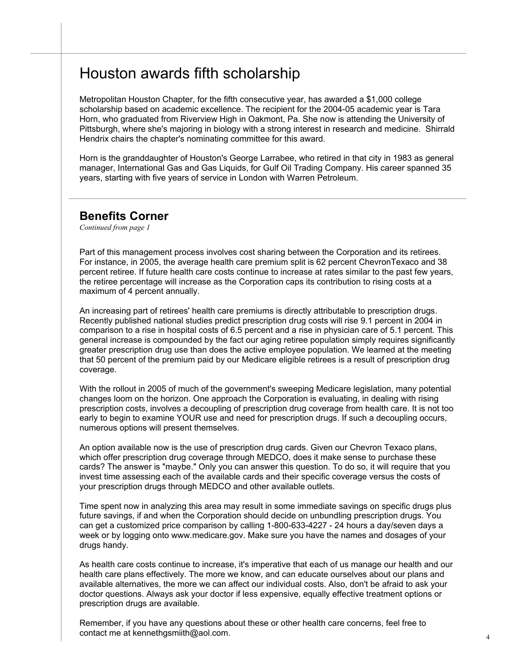## Houston awards fifth scholarship

Metropolitan Houston Chapter, for the fifth consecutive year, has awarded a \$1,000 college scholarship based on academic excellence. The recipient for the 2004-05 academic year is Tara Horn, who graduated from Riverview High in Oakmont, Pa. She now is attending the University of Pittsburgh, where she's majoring in biology with a strong interest in research and medicine. Shirrald Hendrix chairs the chapter's nominating committee for this award.

Horn is the granddaughter of Houston's George Larrabee, who retired in that city in 1983 as general manager, International Gas and Gas Liquids, for Gulf Oil Trading Company. His career spanned 35 years, starting with five years of service in London with Warren Petroleum.

#### **Benefits Corner**

*Continued from page 1*

Part of this management process involves cost sharing between the Corporation and its retirees. For instance, in 2005, the average health care premium split is 62 percent ChevronTexaco and 38 percent retiree. If future health care costs continue to increase at rates similar to the past few years, the retiree percentage will increase as the Corporation caps its contribution to rising costs at a maximum of 4 percent annually.

An increasing part of retirees' health care premiums is directly attributable to prescription drugs. Recently published national studies predict prescription drug costs will rise 9.1 percent in 2004 in comparison to a rise in hospital costs of 6.5 percent and a rise in physician care of 5.1 percent. This general increase is compounded by the fact our aging retiree population simply requires significantly greater prescription drug use than does the active employee population. We learned at the meeting that 50 percent of the premium paid by our Medicare eligible retirees is a result of prescription drug coverage.

With the rollout in 2005 of much of the government's sweeping Medicare legislation, many potential changes loom on the horizon. One approach the Corporation is evaluating, in dealing with rising prescription costs, involves a decoupling of prescription drug coverage from health care. It is not too early to begin to examine YOUR use and need for prescription drugs. If such a decoupling occurs, numerous options will present themselves.

An option available now is the use of prescription drug cards. Given our Chevron Texaco plans, which offer prescription drug coverage through MEDCO, does it make sense to purchase these cards? The answer is "maybe." Only you can answer this question. To do so, it will require that you invest time assessing each of the available cards and their specific coverage versus the costs of your prescription drugs through MEDCO and other available outlets.

Time spent now in analyzing this area may result in some immediate savings on specific drugs plus future savings, if and when the Corporation should decide on unbundling prescription drugs. You can get a customized price comparison by calling 1-800-633-4227 - 24 hours a day/seven days a week or by logging onto www.medicare.gov. Make sure you have the names and dosages of your drugs handy.

As health care costs continue to increase, it's imperative that each of us manage our health and our health care plans effectively. The more we know, and can educate ourselves about our plans and available alternatives, the more we can affect our individual costs. Also, don't be afraid to ask your doctor questions. Always ask your doctor if less expensive, equally effective treatment options or prescription drugs are available.

Remember, if you have any questions about these or other health care concerns, feel free to contact me at kennethgsmiith@aol.com. 4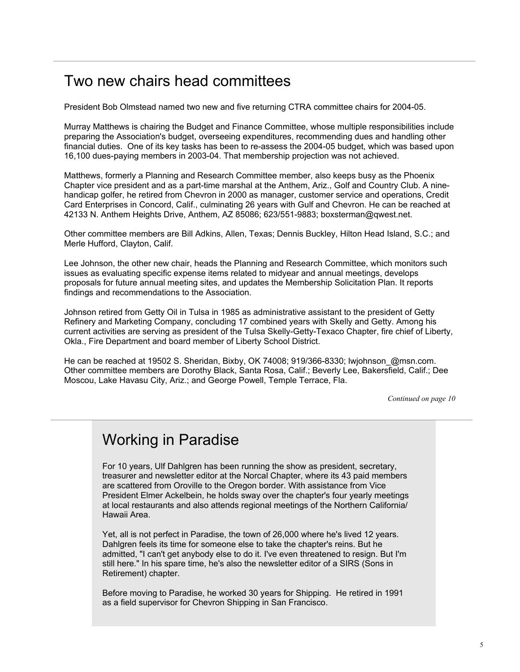## Two new chairs head committees

President Bob Olmstead named two new and five returning CTRA committee chairs for 2004-05.

Murray Matthews is chairing the Budget and Finance Committee, whose multiple responsibilities include preparing the Association's budget, overseeing expenditures, recommending dues and handling other financial duties. One of its key tasks has been to re-assess the 2004-05 budget, which was based upon 16,100 dues-paying members in 2003-04. That membership projection was not achieved.

Matthews, formerly a Planning and Research Committee member, also keeps busy as the Phoenix Chapter vice president and as a part-time marshal at the Anthem, Ariz., Golf and Country Club. A ninehandicap golfer, he retired from Chevron in 2000 as manager, customer service and operations, Credit Card Enterprises in Concord, Calif., culminating 26 years with Gulf and Chevron. He can be reached at 42133 N. Anthem Heights Drive, Anthem, AZ 85086; 623/551-9883; boxsterman@qwest.net.

Other committee members are Bill Adkins, Allen, Texas; Dennis Buckley, Hilton Head Island, S.C.; and Merle Hufford, Clayton, Calif.

Lee Johnson, the other new chair, heads the Planning and Research Committee, which monitors such issues as evaluating specific expense items related to midyear and annual meetings, develops proposals for future annual meeting sites, and updates the Membership Solicitation Plan. It reports findings and recommendations to the Association.

Johnson retired from Getty Oil in Tulsa in 1985 as administrative assistant to the president of Getty Refinery and Marketing Company, concluding 17 combined years with Skelly and Getty. Among his current activities are serving as president of the Tulsa Skelly-Getty-Texaco Chapter, fire chief of Liberty, Okla., Fire Department and board member of Liberty School District.

He can be reached at 19502 S. Sheridan, Bixby, OK 74008; 919/366-8330; lwjohnson\_@msn.com. Other committee members are Dorothy Black, Santa Rosa, Calif.; Beverly Lee, Bakersfield, Calif.; Dee Moscou, Lake Havasu City, Ariz.; and George Powell, Temple Terrace, Fla.

*Continued on page 10*

## Working in Paradise

For 10 years, Ulf Dahlgren has been running the show as president, secretary, treasurer and newsletter editor at the Norcal Chapter, where its 43 paid members are scattered from Oroville to the Oregon border. With assistance from Vice President Elmer Ackelbein, he holds sway over the chapter's four yearly meetings at local restaurants and also attends regional meetings of the Northern California/ Hawaii Area.

Yet, all is not perfect in Paradise, the town of 26,000 where he's lived 12 years. Dahlgren feels its time for someone else to take the chapter's reins. But he admitted, "I can't get anybody else to do it. I've even threatened to resign. But I'm still here." In his spare time, he's also the newsletter editor of a SIRS (Sons in Retirement) chapter.

Before moving to Paradise, he worked 30 years for Shipping. He retired in 1991 as a field supervisor for Chevron Shipping in San Francisco.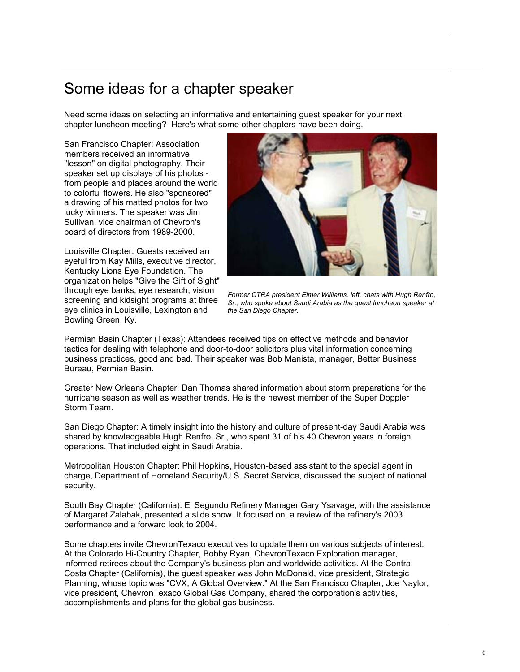## Some ideas for a chapter speaker

Need some ideas on selecting an informative and entertaining guest speaker for your next chapter luncheon meeting? Here's what some other chapters have been doing.

San Francisco Chapter: Association members received an informative "lesson" on digital photography. Their speaker set up displays of his photos from people and places around the world to colorful flowers. He also "sponsored" a drawing of his matted photos for two lucky winners. The speaker was Jim Sullivan, vice chairman of Chevron's board of directors from 1989-2000.

Louisville Chapter: Guests received an eyeful from Kay Mills, executive director, Kentucky Lions Eye Foundation. The organization helps "Give the Gift of Sight" through eye banks, eye research, vision screening and kidsight programs at three eye clinics in Louisville, Lexington and Bowling Green, Ky.



*Former CTRA president Elmer Williams, left, chats with Hugh Renfro, Sr., who spoke about Saudi Arabia as the guest luncheon speaker at the San Diego Chapter.* 

Permian Basin Chapter (Texas): Attendees received tips on effective methods and behavior tactics for dealing with telephone and door-to-door solicitors plus vital information concerning business practices, good and bad. Their speaker was Bob Manista, manager, Better Business Bureau, Permian Basin.

Greater New Orleans Chapter: Dan Thomas shared information about storm preparations for the hurricane season as well as weather trends. He is the newest member of the Super Doppler Storm Team.

San Diego Chapter: A timely insight into the history and culture of present-day Saudi Arabia was shared by knowledgeable Hugh Renfro, Sr., who spent 31 of his 40 Chevron years in foreign operations. That included eight in Saudi Arabia.

Metropolitan Houston Chapter: Phil Hopkins, Houston-based assistant to the special agent in charge, Department of Homeland Security/U.S. Secret Service, discussed the subject of national security.

South Bay Chapter (California): El Segundo Refinery Manager Gary Ysavage, with the assistance of Margaret Zalabak, presented a slide show. It focused on a review of the refinery's 2003 performance and a forward look to 2004.

Some chapters invite ChevronTexaco executives to update them on various subjects of interest. At the Colorado Hi-Country Chapter, Bobby Ryan, ChevronTexaco Exploration manager, informed retirees about the Company's business plan and worldwide activities. At the Contra Costa Chapter (California), the guest speaker was John McDonald, vice president, Strategic Planning, whose topic was "CVX, A Global Overview." At the San Francisco Chapter, Joe Naylor, vice president, ChevronTexaco Global Gas Company, shared the corporation's activities, accomplishments and plans for the global gas business.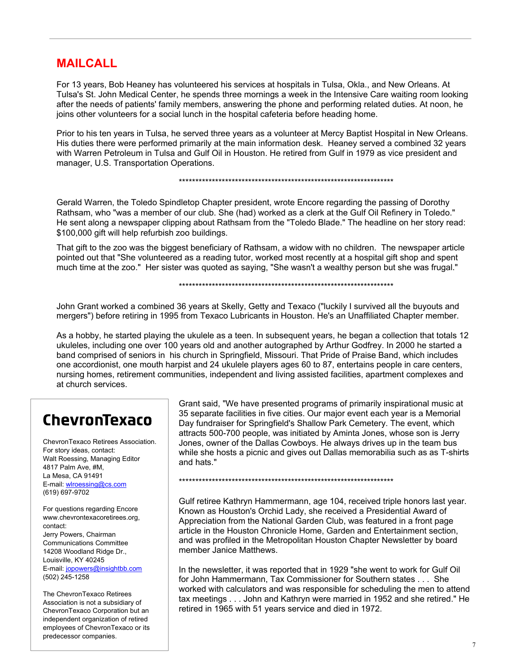### **MAILCALL**

For 13 years, Bob Heaney has volunteered his services at hospitals in Tulsa, Okla., and New Orleans. At Tulsa's St. John Medical Center, he spends three mornings a week in the Intensive Care waiting room looking after the needs of patients' family members, answering the phone and performing related duties. At noon, he joins other volunteers for a social lunch in the hospital cafeteria before heading home.

Prior to his ten years in Tulsa, he served three years as a volunteer at Mercy Baptist Hospital in New Orleans. His duties there were performed primarily at the main information desk. Heaney served a combined 32 years with Warren Petroleum in Tulsa and Gulf Oil in Houston. He retired from Gulf in 1979 as vice president and manager, U.S. Transportation Operations.

#### \*\*\*\*\*\*\*\*\*\*\*\*\*\*\*\*\*\*\*\*\*\*\*\*\*\*\*\*\*\*\*\*\*\*\*\*\*\*\*\*\*\*\*\*\*\*\*\*\*\*\*\*\*\*\*\*\*\*\*\*\*\*\*\*\*

Gerald Warren, the Toledo Spindletop Chapter president, wrote Encore regarding the passing of Dorothy Rathsam, who "was a member of our club. She (had) worked as a clerk at the Gulf Oil Refinery in Toledo." He sent along a newspaper clipping about Rathsam from the "Toledo Blade." The headline on her story read: \$100,000 gift will help refurbish zoo buildings.

That gift to the zoo was the biggest beneficiary of Rathsam, a widow with no children. The newspaper article pointed out that "She volunteered as a reading tutor, worked most recently at a hospital gift shop and spent much time at the zoo." Her sister was quoted as saying, "She wasn't a wealthy person but she was frugal."

#### \*\*\*\*\*\*\*\*\*\*\*\*\*\*\*\*\*\*\*\*\*\*\*\*\*\*\*\*\*\*\*\*\*\*\*\*\*\*\*\*\*\*\*\*\*\*\*\*\*\*\*\*\*\*\*\*\*\*\*\*\*\*\*\*\*

John Grant worked a combined 36 years at Skelly, Getty and Texaco ("luckily I survived all the buyouts and mergers") before retiring in 1995 from Texaco Lubricants in Houston. He's an Unaffiliated Chapter member.

As a hobby, he started playing the ukulele as a teen. In subsequent years, he began a collection that totals 12 ukuleles, including one over 100 years old and another autographed by Arthur Godfrey. In 2000 he started a band comprised of seniors in his church in Springfield, Missouri. That Pride of Praise Band, which includes one accordionist, one mouth harpist and 24 ukulele players ages 60 to 87, entertains people in care centers, nursing homes, retirement communities, independent and living assisted facilities, apartment complexes and at church services.

## ChevronTexaco

ChevronTexaco Retirees Association. For story ideas, contact: Walt Roessing, Managing Editor 4817 Palm Ave, #M, La Mesa, CA 91491 E-mail: wlroessing@cs.com (619) 697-9702

For questions regarding Encore www.chevrontexacoretirees.org, contact: Jerry Powers, Chairman Communications Committee 14208 Woodland Ridge Dr., Louisville, KY 40245 E-mail: jopowers@insightbb.com (502) 245-1258

The ChevronTexaco Retirees Association is not a subsidiary of ChevronTexaco Corporation but an independent organization of retired employees of ChevronTexaco or its predecessor companies.

Grant said, "We have presented programs of primarily inspirational music at 35 separate facilities in five cities. Our major event each year is a Memorial Day fundraiser for Springfield's Shallow Park Cemetery. The event, which attracts 500-700 people, was initiated by Aminta Jones, whose son is Jerry Jones, owner of the Dallas Cowboys. He always drives up in the team bus while she hosts a picnic and gives out Dallas memorabilia such as as T-shirts and hats."

\*\*\*\*\*\*\*\*\*\*\*\*\*\*\*\*\*\*\*\*\*\*\*\*\*\*\*\*\*\*\*\*\*\*\*\*\*\*\*\*\*\*\*\*\*\*\*\*\*\*\*\*\*\*\*\*\*\*\*\*\*\*\*\*\*

Gulf retiree Kathryn Hammermann, age 104, received triple honors last year. Known as Houston's Orchid Lady, she received a Presidential Award of Appreciation from the National Garden Club, was featured in a front page article in the Houston Chronicle Home, Garden and Entertainment section, and was profiled in the Metropolitan Houston Chapter Newsletter by board member Janice Matthews.

In the newsletter, it was reported that in 1929 "she went to work for Gulf Oil for John Hammermann, Tax Commissioner for Southern states . . . She worked with calculators and was responsible for scheduling the men to attend tax meetings . . . John and Kathryn were married in 1952 and she retired." He retired in 1965 with 51 years service and died in 1972.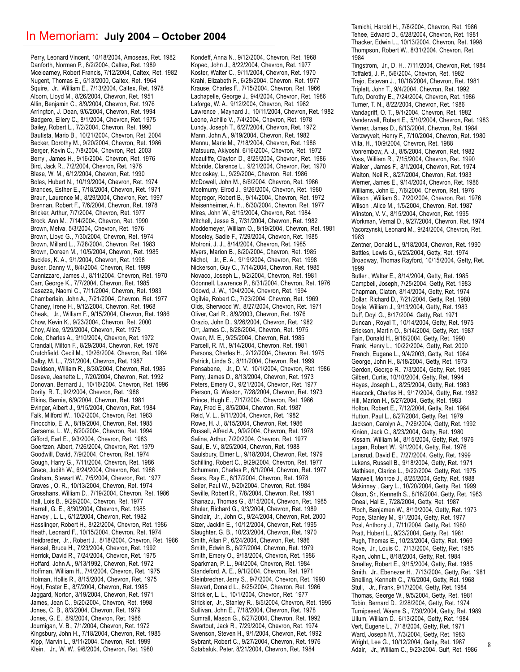#### In Memoriam: **July 2004 – October 2004**

Perry, Leonard Vincent, 10/18/2004, Amoseas, Ret. 1982 Danforth, Norman P., 8/2/2004, Caltex, Ret. 1989 Mcelearney, Robert Francis, 7/12/2004, Caltex, Ret. 1982 Nugent, Thomas E., 5/13/2000, Caltex, Ret. 1964 Squire, Jr., William E., 7/13/2004, Caltex, Ret. 1978 Alcorn, Lloyd M., 8/26/2004, Chevron, Ret. 1951 Allin, Benjamin C., 8/9/2004, Chevron, Ret. 1976 Arrington, J. Dean, 9/6/2004, Chevron, Ret. 1994 Badgero, Ellery C., 8/1/2004, Chevron, Ret. 1975 Bailey, Robert L., 7/2/2004, Chevron, Ret. 1990 Bautista, Mario B., 10/21/2004, Chevron, Ret. 2004 Becker, Dorothy M., 9/20/2004, Chevron, Ret. 1986 Berger, Kevin C., 7/8/2004, Chevron, Ret. 2003 Berry , James H., 9/16/2004, Chevron, Ret. 1976 Bird, Jack R., 7/2/2004, Chevron, Ret. 1976 Blase, W. M., 6/12/2004, Chevron, Ret. 1990 Boles, Hubert N., 10/19/2004, Chevron, Ret. 1974 Brandes, Esther E., 7/18/2004, Chevron, Ret. 1971 Braun, Laurence M., 8/29/2004, Chevron, Ret. 1997 Brennan, Robert F., 7/6/2004, Chevron, Ret. 1978 Bricker, Arthur, 7/7/2004, Chevron, Ret. 1977 Brock, Ann M., 7/14/2004, Chevron, Ret. 1990 Brown, Melva, 5/3/2004, Chevron, Ret. 1976 Brown, Lloyd G., 7/30/2004, Chevron, Ret. 1974 Brown, Millard L., 7/28/2004, Chevron, Ret. 1983 Brown, Doreen M., 10/5/2004, Chevron, Ret. 1985 Buckles, K. A., 9/1/2004, Chevron, Ret. 1998 Buker, Danny V., 8/4/2004, Chevron, Ret. 1999 Cannizzaro, James J., 8/11/2004, Chevron, Ret. 1970 Carr, George K., 7/7/2004, Chevron, Ret. 1985 Casazza, Naomi C., 7/11/2004, Chevron, Ret. 1983 Chamberlain, John A., 7/21/2004, Chevron, Ret. 1977 Chaney, Irene H., 9/12/2004, Chevron, Ret. 1968 Cheak, Jr., William F., 9/15/2004, Chevron, Ret. 1986 Chow, Kevin K., 9/23/2004, Chevron, Ret. 2000 Choy, Alice, 9/29/2004, Chevron, Ret. 1975 Cole, Charles A., 9/10/2004, Chevron, Ret. 1972 Crandall, Milton F., 8/29/2004, Chevron, Ret. 1976 Crutchfield, Cecil M., 10/26/2004, Chevron, Ret. 1984 Dalby, M. L., 7/31/2004, Chevron, Ret. 1987 Davidson, William R., 8/30/2004, Chevron, Ret. 1985 Deseve, Jeanette L., 7/20/2004, Chevron, Ret. 1992 Donovan, Bernard J., 10/16/2004, Chevron, Ret. 1996 Dority, R. T., 9/2/2004, Chevron, Ret. 1986 Elkins, Bernie, 6/9/2004, Chevron, Ret. 1981 Evinger, Albert J., 9/15/2004, Chevron, Ret. 1984 Falk, Milford W., 10/2/2004, Chevron, Ret. 1983 Finocchio, E. A., 8/19/2004, Chevron, Ret. 1985 Gersema, L. W., 6/20/2004, Chevron, Ret. 1994 Gifford, Earl E., 9/3/2004, Chevron, Ret. 1983 Goertzen, Albert, 7/26/2004, Chevron, Ret. 1979 Goodwill, David, 7/9/2004, Chevron, Ret. 1974 Gough, Harry G., 7/11/2004, Chevron, Ret. 1986 Grace, Judith W., 6/24/2004, Chevron, Ret. 1986 Graham, Stewart W., 7/5/2004, Chevron, Ret. 1977 Graves , O. R., 10/13/2004, Chevron, Ret. 1974 Grosshans, William D., 7/19/2004, Chevron, Ret. 1986 Hall, Lois B., 9/29/2004, Chevron, Ret. 1977 Harrell, G. E., 8/30/2004, Chevron, Ret. 1985 Harvey , L. L., 6/12/2004, Chevron, Ret. 1982 Hasslinger, Robert H., 8/22/2004, Chevron, Ret. 1986 Heath, Leonard F., 10/15/2004, Chevron, Ret. 1974 Heidbreder, Jr., Robert J., 8/18/2004, Chevron, Ret. 1986 Hensel, Bruce H., 7/23/2004, Chevron, Ret. 1992 Herrick, David R., 7/24/2004, Chevron, Ret. 1975 Hoffard, John A., 9/13/1992, Chevron, Ret. 1972 Hoffman, William H., 7/4/2004, Chevron, Ret. 1975 Holman, Hollis R., 8/15/2004, Chevron, Ret. 1975 Hoyt, Foster E., 8/7/2004, Chevron, Ret. 1985 Jaggard, Norton, 3/19/2004, Chevron, Ret. 1971 James, Jean C., 9/20/2004, Chevron, Ret. 1998 Jones, C. B., 8/3/2004, Chevron, Ret. 1979 Jones, G. E., 8/9/2004, Chevron, Ret. 1986 Journigan, V. B., 7/1/2004, Chevron, Ret. 1972 Kingsbury, John H., 7/18/2004, Chevron, Ret. 1985 Kipp, Marvin L., 9/11/2004, Chevron, Ret. 1999 Klein, Jr., W. W., 9/6/2004, Chevron, Ret. 1980

Kondeff, Anna N., 9/12/2004, Chevron, Ret. 1968 Kopec, John J., 8/22/2004, Chevron, Ret. 1977 Koster, Walter C., 9/11/2004, Chevron, Ret. 1970 Krahl, Elizabeth F., 6/28/2004, Chevron, Ret. 1977 Krause, Charles F., 7/15/2004, Chevron, Ret. 1966 Lachapelle, George J., 9/4/2004, Chevron, Ret. 1986 Laforge, W. A., 9/12/2004, Chevron, Ret. 1982 Lawrence , Maynard J., 10/11/2004, Chevron, Ret. 1982 Leone, Achille V., 7/4/2004, Chevron, Ret. 1978 Lundy, Joseph T., 6/27/2004, Chevron, Ret. 1972 Mann, John A., 9/19/2004, Chevron, Ret. 1982 Mannu, Marie M., 7/18/2004, Chevron, Ret. 1986 Matsuura, Akiyoshi, 6/16/2004, Chevron, Ret. 1972 Mcauliffe, Clayton D., 8/25/2004, Chevron, Ret. 1986 Mcbride, Clarence L., 9/21/2004, Chevron, Ret. 1970 Mccloskey, L., 9/29/2004, Chevron, Ret. 1986 McDowell, John M., 8/6/2004, Chevron, Ret. 1986 Mcelmurry, Elrod J., 9/26/2004, Chevron, Ret. 1980 Mcgregor, Robert B., 9/14/2004, Chevron, Ret. 1972 Meisenheimer, A. H., 6/30/2004, Chevron, Ret. 1977 Mires, John W., 6/15/2004, Chevron, Ret. 1984 Mitchell, Jesse B., 7/31/2004, Chevron, Ret. 1982 Moddemeyer, William O., 8/19/2004, Chevron, Ret. 1981 Moseley, Sadie F., 7/29/2004, Chevron, Ret. 1985 Motroni, J. J., 8/14/2004, Chevron, Ret. 1985 Myers, Marion B., 8/20/2004, Chevron, Ret. 1985 Nichol, Jr., E. A., 9/19/2004, Chevron, Ret. 1998 Nickerson, Guy C., 7/14/2004, Chevron, Ret. 1985 Novaco, Joseph L., 9/2/2004, Chevron, Ret. 1981 Odonnell, Lawrence P., 8/31/2004, Chevron, Ret. 1976 Odowd, J. W., 10/4/2004, Chevron, Ret. 1994 Ogilvie, Robert C., 7/23/2004, Chevron, Ret. 1969 Olds, Sherwood W., 8/27/2004, Chevron, Ret. 1971 Oliver, Carl R., 8/9/2003, Chevron, Ret. 1976 Orazio, John D., 9/26/2004, Chevron, Ret. 1982 Orr, James C., 8/28/2004, Chevron, Ret. 1975 Owen, M. E., 9/25/2004, Chevron, Ret. 1985 Parcell, R. M., 9/14/2004, Chevron, Ret. 1981 Parsons, Charles H., 2/12/2004, Chevron, Ret. 1975 Patrick, Linda S., 8/11/2004, Chevron, Ret. 1999 Pensabene, Jr., D. V., 10/1/2004, Chevron, Ret. 1986 Perry, James D., 8/13/2004, Chevron, Ret. 1973 Peters, Emery O., 9/21/2004, Chevron, Ret. 1977 Pierson, G. Weston, 7/28/2004, Chevron, Ret. 1973 Prince, Hugh E., 7/17/2004, Chevron, Ret. 1986 Ray, Fred E., 8/5/2004, Chevron, Ret. 1987 Reid, V. L., 9/11/2004, Chevron, Ret. 1982 Rowe, H. J., 8/15/2004, Chevron, Ret. 1986 Russell, Alfred A., 9/9/2004, Chevron, Ret. 1978 Salina, Arthur, 7/20/2004, Chevron, Ret. 1977 Saul, E. V., 8/25/2004, Chevron, Ret. 1988 Saulsbury, Elmer L., 9/18/2004, Chevron, Ret. 1979 Schilling, Robert C., 9/29/2004, Chevron, Ret. 1977 Schumann, Charles P., 6/1/2004, Chevron, Ret. 1977 Sears, Ray E., 6/17/2004, Chevron, Ret. 1978 Seiler, Paul W., 9/20/2004, Chevron, Ret. 1984 Seville, Robert R., 7/8/2004, Chevron, Ret. 1991 Shanazu, Thomas G., 8/15/2004, Chevron, Ret. 1985 Shuler, Richard G., 9/3/2004, Chevron, Ret. 1989 Sinclair, Jr., John C., 9/24/2004, Chevron, Ret. 2000 Sizer, Jacklin E., 10/12/2004, Chevron, Ret. 1995 Slaughter, G. B., 10/23/2004, Chevron, Ret. 1970 Smith, Allan P., 6/24/2004, Chevron, Ret. 1986 Smith, Edwin B., 6/27/2004, Chevron, Ret. 1979 Smith, Emery O., 9/18/2004, Chevron, Ret. 1986 Sparkman, P. L., 9/4/2004, Chevron, Ret. 1984 Standeford, A. E., 9/1/2004, Chevron, Ret. 1971 Steinbrecher, Jerry S., 9/7/2004, Chevron, Ret. 1990 Stewart, Donald L., 8/25/2004, Chevron, Ret. 1986 Strickler, L. L., 10/1/2004, Chevron, Ret. 1977 Strickler, Jr., Stanley R., 8/5/2004, Chevron, Ret. 1995 Sullivan, John E., 7/18/2004, Chevron, Ret. 1978 Sumrall, Mason G., 6/27/2004, Chevron, Ret. 1992 Swartout, Jack R., 7/29/2004, Chevron, Ret. 1974 Swenson, Steven H., 9/1/2004, Chevron, Ret. 1992 Sybrant, Robert C., 9/27/2004, Chevron, Ret. 1976 Sztabaluk, Peter, 8/21/2004, Chevron, Ret. 1984

Tamichi, Harold H., 7/8/2004, Chevron, Ret. 1986 Tehee, Edward D., 6/28/2004, Chevron, Ret. 1981 Thacker, Edwin L., 10/13/2004, Chevron, Ret. 1998 Thompson, Robert W., 8/31/2004, Chevron, Ret. 1984 Tingstrom, Jr., D. H., 7/11/2004, Chevron, Ret. 1984 Toffaleti, J. P., 5/6/2004, Chevron, Ret. 1982 Trejo, Estevan J., 10/18/2004, Chevron, Ret. 1981

Triplett, John T., 9/4/2004, Chevron, Ret. 1992 Tufo, Dorothy E., 7/24/2004, Chevron, Ret. 1986 Turner, T. N., 8/22/2004, Chevron, Ret. 1986 Vandagriff, O. T., 9/1/2004, Chevron, Ret. 1982 Vanderwall, Robert E., 5/10/2004, Chevron, Ret. 1983 Verner, James D., 8/13/2004, Chevron, Ret. 1984 Verzwyvelt, Henry F., 7/10/2004, Chevron, Ret. 1980 Villa, H., 10/9/2004, Chevron, Ret. 1988 Vonrembow, A. J., 8/5/2004, Chevron, Ret. 1982 Voss, William R., 7/15/2004, Chevron, Ret. 1990 Walker , James F., 8/1/2004, Chevron, Ret. 1974 Walton, Neil R., 8/27/2004, Chevron, Ret. 1983 Werner, James E., 9/14/2004, Chevron, Ret. 1986 Williams, John E., 7/6/2004, Chevron, Ret. 1976 Wilson , William S., 7/20/2004, Chevron, Ret. 1976 Wilson , Alice M., 1/5/2004, Chevron, Ret. 1987 Winston, V. V., 8/15/2004, Chevron, Ret. 1995 Workman, Vernal D., 9/27/2004, Chevron, Ret. 1974 Yacorzynski, Leonard M., 9/24/2004, Chevron, Ret. 1983

Zentner, Donald L., 9/18/2004, Chevron, Ret. 1990 Battles, Lewis G., 6/25/2004, Getty, Ret. 1974 Broadway, Thomas Rayford, 10/15/2004, Getty, Ret. 1999

Butler , Walter E., 8/14/2004, Getty, Ret. 1985 Campbell, Joseph, 7/25/2004, Getty, Ret. 1983 Chapman, Claten, 8/14/2004, Getty, Ret. 1974 Dollar, Richard D., 7/21/2004, Getty, Ret. 1980 Doyle, William J., 9/13/2004, Getty, Ret. 1983 Duff, Doyl G., 8/17/2004, Getty, Ret. 1971 Duncan , Royal T., 10/14/2004, Getty, Ret. 1975 Erickson, Martin O., 8/14/2004, Getty, Ret. 1987 Fain, Donald H., 9/16/2004, Getty, Ret. 1990 Frank, Henry L., 10/22/2004, Getty, Ret. 2000 French, Eugene L., 9/4/2003, Getty, Ret. 1984 George, John H., 8/18/2004, Getty, Ret. 1973 Gerdon, George R., 7/3/2004, Getty, Ret. 1985 Gilbert, Curtis, 10/10/2004, Getty, Ret. 1994 Hayes, Joseph L., 8/25/2004, Getty, Ret. 1983 Heacock, Charles H., 9/17/2004, Getty, Ret. 1982 Hill, Marion H., 5/27/2004, Getty, Ret. 1983 Holton, Robert E., 7/12/2004, Getty, Ret. 1984 Hutton, Paul L., 8/27/2004, Getty, Ret. 1979 Jackson, Carolyn A., 7/26/2004, Getty, Ret. 1992 Kinion, Jack C., 8/23/2004, Getty, Ret. 1980 Kissam, William M., 8/15/2004, Getty, Ret. 1976 Lagan, Robert W., 9/1/2004, Getty, Ret. 1976 Lansrud, David E., 7/27/2004, Getty, Ret. 1999 Lukens, Russell B., 9/18/2004, Getty, Ret. 1971 Mathisen, Clarice L., 9/22/2004, Getty, Ret. 1975 Maxwell, Monroe J., 8/25/2004, Getty, Ret. 1988 Mckinney , Gary L., 10/20/2004, Getty, Ret. 1999 Olson, Sr., Kenneth S., 8/16/2004, Getty, Ret. 1983 Oneal, Hal E., 7/28/2004, Getty, Ret. 1987 Ploch, Benjamen W., 8/10/2004, Getty, Ret. 1973 Pope, Stanley M., 9/1/2004, Getty, Ret. 1977 Posl, Anthony J., 7/11/2004, Getty, Ret. 1980 Pratt, Hubert L., 9/23/2004, Getty, Ret. 1981 Pugh, Thomas E., 10/23/2004, Getty, Ret. 1969 Rove, Jr., Louis C., 7/13/2004, Getty, Ret. 1985 Ryan, John L., 8/18/2004, Getty, Ret. 1984 Smalley, Robert E., 9/15/2004, Getty, Ret. 1985 Smith, Jr., Ebenezer H., 7/13/2004, Getty, Ret. 1981 Snelling, Kenneth C., 7/6/2004, Getty, Ret. 1968 Stull, Jr., Frank, 9/17/2004, Getty, Ret. 1984 Thomas, George W., 9/5/2004, Getty, Ret. 1981 Tobin, Bernard D., 2/28/2004, Getty, Ret. 1974 Turnipseed, Wayne S., 7/30/2004, Getty, Ret. 1989 Ullum, William D., 6/13/2004, Getty, Ret. 1984 Vert, Eugene L., 7/18/2004, Getty, Ret. 1971 Ward, Joseph M., 7/3/2004, Getty, Ret. 1983 Wright, Lee G., 10/12/2004, Getty, Ret. 1987 Adair, Jr., William C., 9/23/2004, Gulf, Ret. 1986

8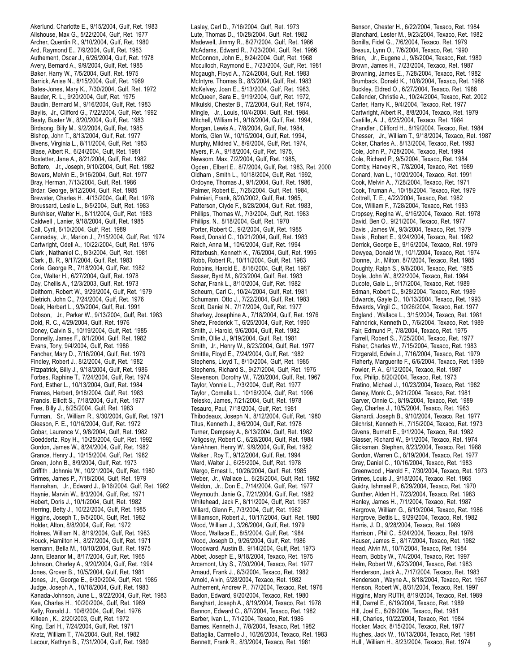Akerlund, Charlotte E., 9/15/2004, Gulf, Ret. 1983 Allshouse, Max G., 5/22/2004, Gulf, Ret. 1977 Archer, Quentin R., 9/10/2004, Gulf, Ret. 1980 Ard, Raymond E., 7/9/2004, Gulf, Ret. 1983 Authement, Oscar J., 6/26/2004, Gulf, Ret. 1978 Avery, Bernard A., 9/9/2004, Gulf, Ret. 1985 Baker, Harry W., 7/5/2004, Gulf, Ret. 1975 Barrick, Anise N., 8/15/2004, Gulf, Ret. 1969 Bates-Jones, Mary K., 7/30/2004, Gulf, Ret. 1972 Bauder, R. L., 9/20/2004, Gulf, Ret. 1975 Baudin, Bernard M., 9/16/2004, Gulf, Ret. 1983 Baylis, Jr., Clifford G., 7/22/2004, Gulf, Ret. 1992 Beaty, Buster W., 8/20/2004, Gulf, Ret. 1983 Birdsong, Billy M., 9/2/2004, Gulf, Ret. 1985 Bishop, John T., 8/13/2004, Gulf, Ret. 1977 Bivens, Virginia L., 8/11/2004, Gulf, Ret. 1983 Blase, Albert R., 6/24/2004, Gulf, Ret. 1981 Bostetter, Jane A., 8/21/2004, Gulf, Ret. 1982 Bottero, Jr., Joseph, 9/10/2004, Gulf, Ret. 1982 Bowers, Melvin E., 9/16/2004, Gulf, Ret. 1977 Bray, Herman, 7/13/2004, Gulf, Ret. 1986 Brdar, George, 9/12/2004, Gulf, Ret. 1985 Brewster, Charles H., 4/13/2004, Gulf, Ret. 1978 Broussard, Leslie L., 8/5/2004, Gulf, Ret. 1983 Burkhiser, Walter H., 8/11/2004, Gulf, Ret. 1983 Caldwell , Lanier, 9/18/2004, Gulf, Ret. 1985 Call, Cyril, 6/10/2004, Gulf, Ret. 1989 Cannaday, Jr., Marion J., 7/15/2004, Gulf, Ret. 1974 Cartwright, Odell A., 10/22/2004, Gulf, Ret. 1976 Clark , Nathaniel C., 8/3/2004, Gulf, Ret. 1981 Clark , B. R., 9/17/2004, Gulf, Ret. 1983 Corie, George R., 7/18/2004, Gulf, Ret. 1982 Cox, Walter H., 6/27/2004, Gulf, Ret. 1978 Day, Chellis A., 12/3/2003, Gulf, Ret. 1973 Deithorn, Robert W., 9/29/2004, Gulf, Ret. 1979 Dietrich, John C., 7/24/2004, Gulf, Ret. 1976 Doak, Herbert L., 9/9/2004, Gulf, Ret. 1991 Dobson, Jr., Parker W., 9/13/2004, Gulf, Ret. 1983 Dold, R. C., 4/29/2004, Gulf, Ret. 1976 Doney, Calvin S., 10/19/2004, Gulf, Ret. 1985 Donnelly, James F., 8/1/2004, Gulf, Ret. 1982 Evans, Tony, 9/4/2004, Gulf, Ret. 1986 Fancher, Mary D., 7/16/2004, Gulf, Ret. 1979 Findley, Robert J., 8/2/2004, Gulf, Ret. 1982 Fitzpatrick, Billy J., 9/18/2004, Gulf, Ret. 1986 Forbes, Raphine T., 7/24/2004, Gulf, Ret. 1974 Ford, Esther L., 10/13/2004, Gulf, Ret. 1984 Frames, Herbert, 9/18/2004, Gulf, Ret. 1983 Francis, Elliott S., 7/18/2004, Gulf, Ret. 1977 Free, Billy J., 8/25/2004, Gulf, Ret. 1983 Furman, Sr., William R., 9/30/2004, Gulf, Ret. 1971 Gleason, F. E., 10/16/2004, Gulf, Ret. 1972 Gobar, Laurence V., 9/8/2004, Gulf, Ret. 1982 Goeddertz, Roy H., 10/25/2004, Gulf, Ret. 1992 Gordon, James W., 8/24/2004, Gulf, Ret. 1982 Grance, Henry J., 10/15/2004, Gulf, Ret. 1982 Green, John B., 8/9/2004, Gulf, Ret. 1973 Griffith , Johnnie W., 10/21/2004, Gulf, Ret. 1980 Grimes, James P., 7/18/2004, Gulf, Ret. 1979 Hannahan, Jr., Edward J., 9/16/2004, Gulf, Ret. 1982 Haynie, Marvin W., 8/3/2004, Gulf, Ret. 1971 Hebert, Doris J., 10/1/2004, Gulf, Ret. 1982 Herring, Betty J., 10/22/2004, Gulf, Ret. 1985 Higgins, Joseph T., 9/5/2004, Gulf, Ret. 1982 Holder, Alton, 8/8/2004, Gulf, Ret. 1972 Holmes, William N., 8/19/2004, Gulf, Ret. 1983 Houck, Hamilton H., 8/27/2004, Gulf, Ret. 1971 Isemann, Bella M., 10/10/2004, Gulf, Ret. 1975 Jann, Eleanor M., 8/17/2004, Gulf, Ret. 1965 Johnson, Charley A., 9/20/2004, Gulf, Ret. 1994 Jones, Grover B., 10/5/2004, Gulf, Ret. 1981 Jones, Jr., George E., 6/30/2004, Gulf, Ret. 1985 Judge, Joseph A., 10/18/2004, Gulf, Ret. 1983 Kanada-Johnson, June L., 9/22/2004, Gulf, Ret. 1983 Kee, Charles H., 10/20/2004, Gulf, Ret. 1989 Kelly, Ronald J., 10/6/2004, Gulf, Ret. 1976 Killeen , K., 2/20/2003, Gulf, Ret. 1972 King, Earl H., 7/24/2004, Gulf, Ret. 1971 Kratz, William T., 7/4/2004, Gulf, Ret. 1982 Lacour, Kathryn B., 7/31/2004, Gulf, Ret. 1980

Lasley, Carl D., 7/16/2004, Gulf, Ret. 1973 Lute, Thomas D., 10/28/2004, Gulf, Ret. 1982 Madewell, Jimmy R., 8/27/2004, Gulf, Ret. 1986 McAdams, Edward R., 7/23/2004, Gulf, Ret. 1966 McConnon, John E., 8/24/2004, Gulf, Ret. 1968 Mcculloch, Raymond E., 7/23/2004, Gulf, Ret. 1981 Mcgaugh, Floyd A., 7/24/2004, Gulf, Ret. 1983 McIntyre, Thomas B., 8/3/2004, Gulf, Ret. 1983 McKelvey, Joan E., 5/13/2004, Gulf, Ret. 1983, McQueen, Sara E., 9/19/2004, Gulf, Ret. 1972, Mikulski, Chester B., 7/2/2004, Gulf, Ret. 1974, Mingle, Jr., Louis, 10/4/2004, Gulf, Ret. 1984, Mitchell, William H., 9/18/2004, Gulf, Ret. 1994, Morgan, Lewis A., 7/8/2004, Gulf, Ret. 1984, Morris, Glen W., 10/15/2004, Gulf, Ret. 1994, Murphy, Mildred V., 8/9/2004, Gulf, Ret. 1974, Myers, F. A., 9/18/2004, Gulf, Ret. 1975, Newsom, Max, 7/2/2004, Gulf, Ret. 1985, Ogden , Elbert E., 8/7/2004, Gulf, Ret. 1983, Ret. 2000 Oldham , Smith L., 10/18/2004, Gulf, Ret. 1992, Ordoyne, Thomas J., 9/1/2004, Gulf, Ret. 1986, Palmer, Robert E., 7/26/2004, Gulf, Ret. 1984, Palmieri, Frank, 8/20/2002, Gulf, Ret. 1965, Patterson, Clyde F., 8/28/2004, Gulf, Ret. 1983, Phillips, Thomas W., 7/3/2004, Gulf, Ret. 1983 Phillips, N., 8/18/2004, Gulf, Ret. 1970 Porter, Robert C., 9/2/2004, Gulf, Ret. 1985 Reed, Donald C., 10/21/2004, Gulf, Ret. 1983 Reich, Anna M., 10/6/2004, Gulf, Ret. 1994 Ritterbush, Kenneth K., 7/6/2004, Gulf, Ret. 1995 Robb, Robert R., 10/11/2004, Gulf, Ret. 1983 Robbins, Harold E., 8/16/2004, Gulf, Ret. 1967 Sasser, Byrd M., 8/23/2004, Gulf, Ret. 1983 Schar, Frank L., 8/10/2004, Gulf, Ret. 1982 Scheurn, Carl C., 10/24/2004, Gulf, Ret. 1981 Schumann, Otto J., 7/22/2004, Gulf, Ret. 1983 Scott, Daniel N., 7/17/2004, Gulf, Ret. 1977 Sharkey, Josephine A., 7/18/2004, Gulf, Ret. 1976 Shetz, Frederick T., 6/25/2004, Gulf, Ret. 1990 Smith, J. Harold, 9/6/2004, Gulf, Ret. 1982 Smith, Ollie J., 9/19/2004, Gulf, Ret. 1981 Smith, Jr., Henry W., 8/23/2004, Gulf, Ret. 1977 Smittle, Floyd E., 7/24/2004, Gulf, Ret. 1982 Stephens, Lloyd T., 8/10/2004, Gulf, Ret. 1985 Stephens, Richard S., 9/27/2004, Gulf, Ret. 1975 Stevenson, Dorothy W., 7/20/2004, Gulf, Ret. 1967 Taylor, Vonnie L., 7/3/2004, Gulf, Ret. 1977 Taylor , Cornella L., 10/16/2004, Gulf, Ret. 1996 Telesko, James, 7/21/2004, Gulf, Ret. 1978 Tesauro, Paul, 7/18/2004, Gulf, Ret. 1981 Thibodeaux, Joseph N., 8/12/2004, Gulf, Ret. 1980 Titus, Kenneth J., 8/6/2004, Gulf, Ret. 1978 Turner, Dempsey A., 8/13/2004, Gulf, Ret. 1982 Valigosky, Robert C., 6/28/2004, Gulf, Ret. 1984 VanAhnen, Henry W., 9/9/2004, Gulf, Ret. 1982 Walker , Roy T., 9/12/2004, Gulf, Ret. 1994 Ward, Walter J., 6/25/2004, Gulf, Ret. 1978 Wargo, Ernest I., 10/26/2004, Gulf, Ret. 1985 Weber, Jr., Wallace L., 6/28/2004, Gulf, Ret. 1992 Weldon, Jr., Don E., 7/14/2004, Gulf, Ret. 1977 Weymouth, Janie G., 7/21/2004, Gulf, Ret. 1982 Whitehead, Jack F., 8/11/2004, Gulf, Ret. 1987 Willard, Glenn F., 7/3/2004, Gulf, Ret. 1982 Williamson, Robert J., 10/17/2004, Gulf, Ret. 1980 Wood, William J., 3/26/2004, Gulf, Ret. 1979 Wood, Wallace E., 8/5/2004, Gulf, Ret. 1984 Wood, Joseph D., 9/26/2004, Gulf, Ret. 1986 Woodward, Austin B., 9/14/2004, Gulf, Ret. 1973 Abbet, Joseph E., 9/18/2004, Texaco, Ret. 1975 Arcemont, Ury S., 7/30/2004, Texaco, Ret. 1977 Arnaud, Frank J., 8/3/2004, Texaco, Ret. 1982 Arnold, Alvin, 5/28/2004, Texaco, Ret. 1982 Authement, Andrew P., 7/7/2004, Texaco, Ret. 1976 Badon, Edward, 9/20/2004, Texaco, Ret. 1980 Banghart, Joseph A., 8/19/2004, Texaco, Ret. 1978 Bannon, Edward C., 8/7/2004, Texaco, Ret. 1982 Barber, Ivan L., 7/1/2004, Texaco, Ret. 1986 Barnes, Kenneth J., 7/8/2004, Texaco, Ret. 1982 Battaglia, Carmello J., 10/26/2004, Texaco, Ret. 1983 Bennett, Frank R., 8/3/2004, Texaco, Ret. 1981 9

Benson, Chester H., 6/22/2004, Texaco, Ret. 1984 Blanchard, Lester M., 9/23/2004, Texaco, Ret. 1982 Bonilla, Fidel G., 7/6/2004, Texaco, Ret. 1979 Breaux, Lynn O., 7/6/2004, Texaco, Ret. 1990 Brien, Jr., Eugene J., 9/8/2004, Texaco, Ret. 1980 Brown, James H., 7/23/2004, Texaco, Ret. 1987 Browning, James E., 7/28/2004, Texaco, Ret. 1982 Brumback, Donald K., 10/8/2004, Texaco, Ret. 1986 Buckley, Eldred O., 6/27/2004, Texaco, Ret. 1988 Callender, Christie A., 10/24/2004, Texaco, Ret. 2002 Carter, Harry K., 9/4/2004, Texaco, Ret. 1977 Cartwright, Albert R., 8/8/2004, Texaco, Ret. 1979 Castille, A. J., 6/25/2004, Texaco, Ret. 1984 Chandler , Clifford H., 8/19/2004, Texaco, Ret. 1984 Chesser, Jr., William T., 9/18/2004, Texaco, Ret. 1987 Coker, Charles A., 8/13/2004, Texaco, Ret. 1993 Cole, John P., 7/28/2004, Texaco, Ret. 1994 Cole, Richard P., 9/5/2004, Texaco, Ret. 1984 Comby, Harvey R., 7/8/2004, Texaco, Ret. 1989 Conard, Ivan L., 10/20/2004, Texaco, Ret. 1991 Cook, Melvin A., 7/28/2004, Texaco, Ret. 1971 Cook, Truman A., 10/18/2004, Texaco, Ret. 1979 Cottrell, T. E., 4/22/2004, Texaco, Ret. 1982 Cox, William F., 7/28/2004, Texaco, Ret. 1983 Cropsey, Regina W., 6/16/2004, Texaco, Ret. 1978 David, Ben O., 9/21/2004, Texaco, Ret. 1977 Davis , James W., 9/3/2004, Texaco, Ret. 1979 Davis , Robert E., 9/24/2004, Texaco, Ret. 1982 Derrick, George E., 9/16/2004, Texaco, Ret. 1979 Dewyea, Donald W., 10/1/2004, Texaco, Ret. 1974 Dionne, Jr., Milton, 8/7/2004, Texaco, Ret. 1985 Doughty, Ralph S., 9/8/2004, Texaco, Ret. 1985 Doyle, John W., 8/22/2004, Texaco, Ret. 1984 Ducote, Gale L., 9/17/2004, Texaco, Ret. 1989 Edman, Robert C., 8/28/2004, Texaco, Ret. 1989 Edwards, Gayle D., 10/13/2004, Texaco, Ret. 1993 Edwards, Virgil C., 10/26/2004, Texaco, Ret. 1977 England , Wallace L., 3/15/2004, Texaco, Ret. 1981 Fahndrick, Kenneth D., 7/6/2004, Texaco, Ret. 1989 Fair, Edmund P., 7/8/2004, Texaco, Ret. 1975 Farrell, Robert S., 7/25/2004, Texaco, Ret. 1977 Fisher, Charles W., 7/15/2004, Texaco, Ret. 1983 Fitzgerald, Edwin J., 7/16/2004, Texaco, Ret. 1979 Flaherty, Marguerite F., 6/6/2004, Texaco, Ret. 1989 Fowler, P. A., 6/12/2004, Texaco, Ret. 1987 Fox, Philip, 8/20/2004, Texaco, Ret. 1973 Fratino, Michael J., 10/23/2004, Texaco, Ret. 1982 Ganey, Monk C., 9/21/2004, Texaco, Ret. 1981 Garver, Onnie C., 8/19/2004, Texaco, Ret. 1989 Gay, Charles J., 10/5/2004, Texaco, Ret. 1983 Gianardi, Joseph B., 9/10/2004, Texaco, Ret. 1977 Gilchrist, Kenneth H., 7/15/2004, Texaco, Ret. 1973 Givens, Burnett E., 9/1/2004, Texaco, Ret. 1982 Glasser, Richard W., 9/1/2004, Texaco, Ret. 1974 Glicksman, Stephen, 8/23/2004, Texaco, Ret. 1988 Gordon, Warren C., 8/19/2004, Texaco, Ret. 1977 Gray, Daniel C., 10/16/2004, Texaco, Ret. 1983 Greenwood , Harold F., 7/30/2004, Texaco, Ret. 1973 Grimes, Louis J., 9/18/2004, Texaco, Ret. 1965 Guidry, Ishmael P., 6/29/2004, Texaco, Ret. 1970 Gunther, Alden H., 7/23/2004, Texaco, Ret. 1983 Hanley, James H., 7/1/2004, Texaco, Ret. 1987 Hargrove, William G., 6/19/2004, Texaco, Ret. 1986 Hargrove, Bettis L., 9/29/2004, Texaco, Ret. 1982 Harris, J. D., 9/28/2004, Texaco, Ret. 1989 Harrison , Phil C., 5/24/2004, Texaco, Ret. 1976 Hauser, James E., 8/17/2004, Texaco, Ret. 1982 Head, Alvin M., 10/7/2004, Texaco, Ret. 1984 Hearn, Bobby W., 7/4/2004, Texaco, Ret. 1997 Helm, Robert W., 6/23/2004, Texaco, Ret. 1983 Henderson, Jack A., 7/17/2004, Texaco, Ret. 1983 Henderson , Wayne A., 8/18/2004, Texaco, Ret. 1967 Henson, Robert W., 8/31/2004, Texaco, Ret. 1997 Higgins, Mary RUTH, 8/19/2004, Texaco, Ret. 1989 Hill, Darrel E., 6/19/2004, Texaco, Ret. 1989 Hill, Joel E., 8/26/2004, Texaco, Ret. 1981 Hill, Charles, 10/22/2004, Texaco, Ret. 1984 Hocker, Mack, 8/15/2004, Texaco, Ret. 1977 Hughes, Jack W., 10/13/2004, Texaco, Ret. 1981 Hull , William H., 8/23/2004, Texaco, Ret. 1974